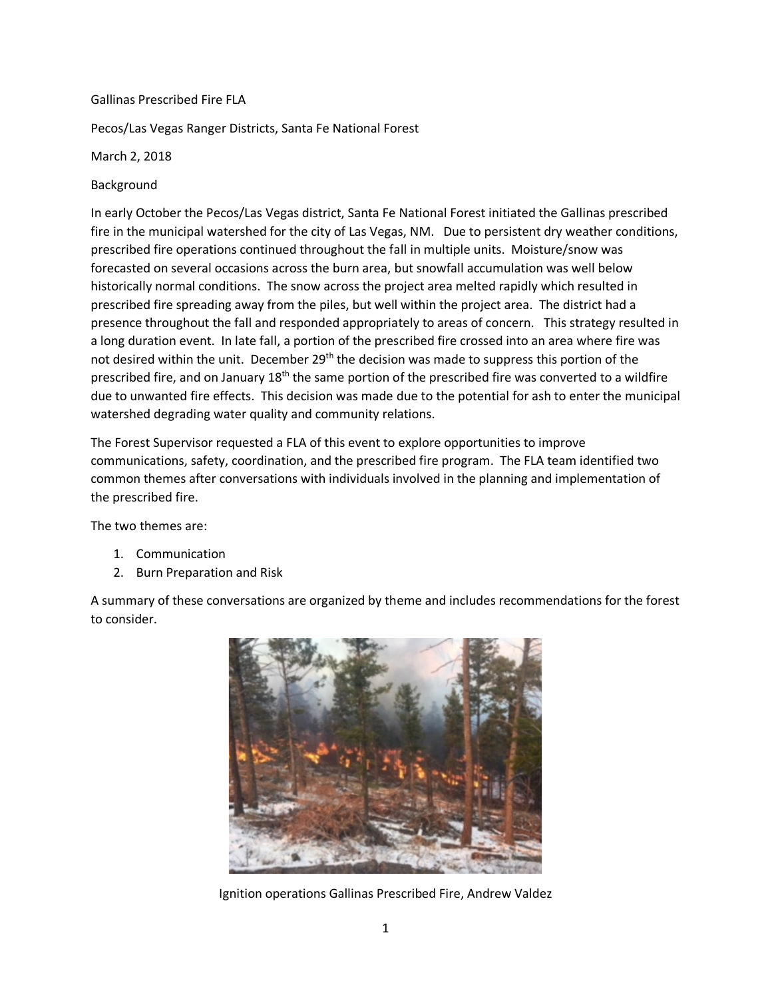## Gallinas Prescribed Fire FLA

Pecos/Las Vegas Ranger Districts, Santa Fe National Forest

March 2, 2018

Background

In early October the Pecos/Las Vegas district, Santa Fe National Forest initiated the Gallinas prescribed fire in the municipal watershed for the city of Las Vegas, NM. Due to persistent dry weather conditions, prescribed fire operations continued throughout the fall in multiple units. Moisture/snow was forecasted on several occasions across the burn area, but snowfall accumulation was well below historically normal conditions. The snow across the project area melted rapidly which resulted in prescribed fire spreading away from the piles, but well within the project area. The district had a presence throughout the fall and responded appropriately to areas of concern. This strategy resulted in a long duration event. In late fall, a portion of the prescribed fire crossed into an area where fire was not desired within the unit. December 29<sup>th</sup> the decision was made to suppress this portion of the prescribed fire, and on January  $18<sup>th</sup>$  the same portion of the prescribed fire was converted to a wildfire due to unwanted fire effects. This decision was made due to the potential for ash to enter the municipal watershed degrading water quality and community relations.

The Forest Supervisor requested a FLA of this event to explore opportunities to improve communications, safety, coordination, and the prescribed fire program. The FLA team identified two common themes after conversations with individuals involved in the planning and implementation of the prescribed fire.

The two themes are:

- 1. Communication
- 2. Burn Preparation and Risk

A summary of these conversations are organized by theme and includes recommendations for the forest to consider.



Ignition operations Gallinas Prescribed Fire, Andrew Valdez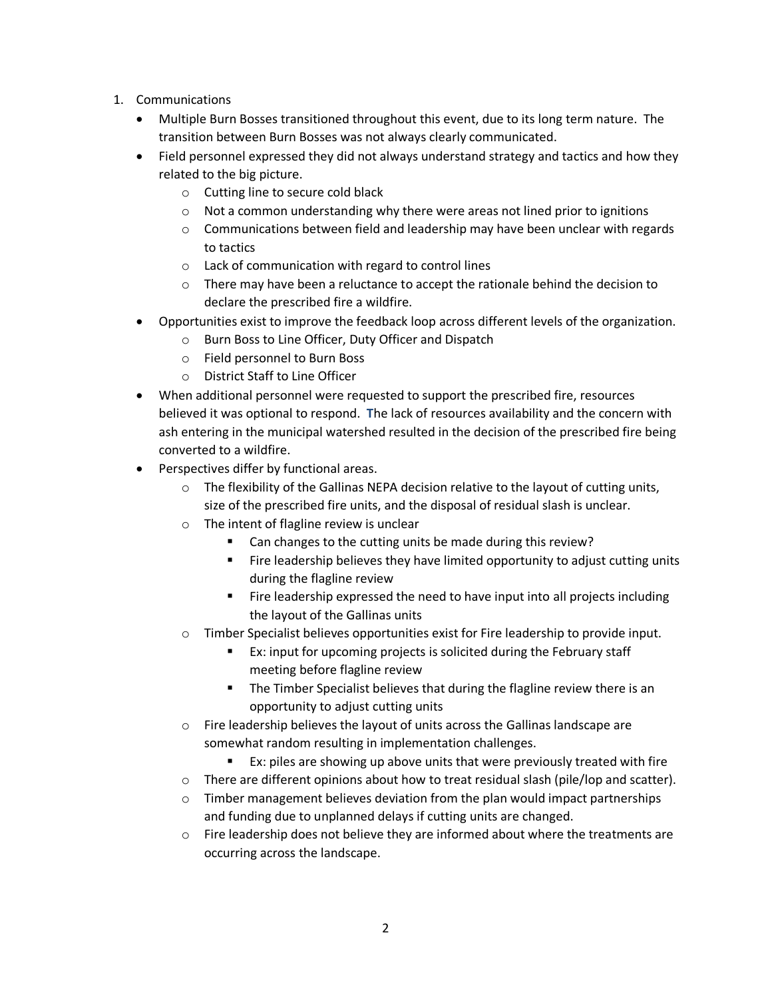- 1. Communications
	- Multiple Burn Bosses transitioned throughout this event, due to its long term nature. The transition between Burn Bosses was not always clearly communicated.
	- Field personnel expressed they did not always understand strategy and tactics and how they related to the big picture.
		- o Cutting line to secure cold black
		- o Not a common understanding why there were areas not lined prior to ignitions
		- $\circ$  Communications between field and leadership may have been unclear with regards to tactics
		- o Lack of communication with regard to control lines
		- $\circ$  There may have been a reluctance to accept the rationale behind the decision to declare the prescribed fire a wildfire.
	- Opportunities exist to improve the feedback loop across different levels of the organization.
		- o Burn Boss to Line Officer, Duty Officer and Dispatch
		- o Field personnel to Burn Boss
		- o District Staff to Line Officer
	- When additional personnel were requested to support the prescribed fire, resources believed it was optional to respond. **T**he lack of resources availability and the concern with ash entering in the municipal watershed resulted in the decision of the prescribed fire being converted to a wildfire.
	- Perspectives differ by functional areas.
		- $\circ$  The flexibility of the Gallinas NEPA decision relative to the layout of cutting units, size of the prescribed fire units, and the disposal of residual slash is unclear.
		- o The intent of flagline review is unclear
			- Can changes to the cutting units be made during this review?
			- **•** Fire leadership believes they have limited opportunity to adjust cutting units during the flagline review
			- Fire leadership expressed the need to have input into all projects including the layout of the Gallinas units
		- $\circ$  Timber Specialist believes opportunities exist for Fire leadership to provide input.
			- Ex: input for upcoming projects is solicited during the February staff meeting before flagline review
			- **•** The Timber Specialist believes that during the flagline review there is an opportunity to adjust cutting units
		- $\circ$  Fire leadership believes the layout of units across the Gallinas landscape are somewhat random resulting in implementation challenges.
			- Ex: piles are showing up above units that were previously treated with fire
		- $\circ$  There are different opinions about how to treat residual slash (pile/lop and scatter).
		- $\circ$  Timber management believes deviation from the plan would impact partnerships and funding due to unplanned delays if cutting units are changed.
		- $\circ$  Fire leadership does not believe they are informed about where the treatments are occurring across the landscape.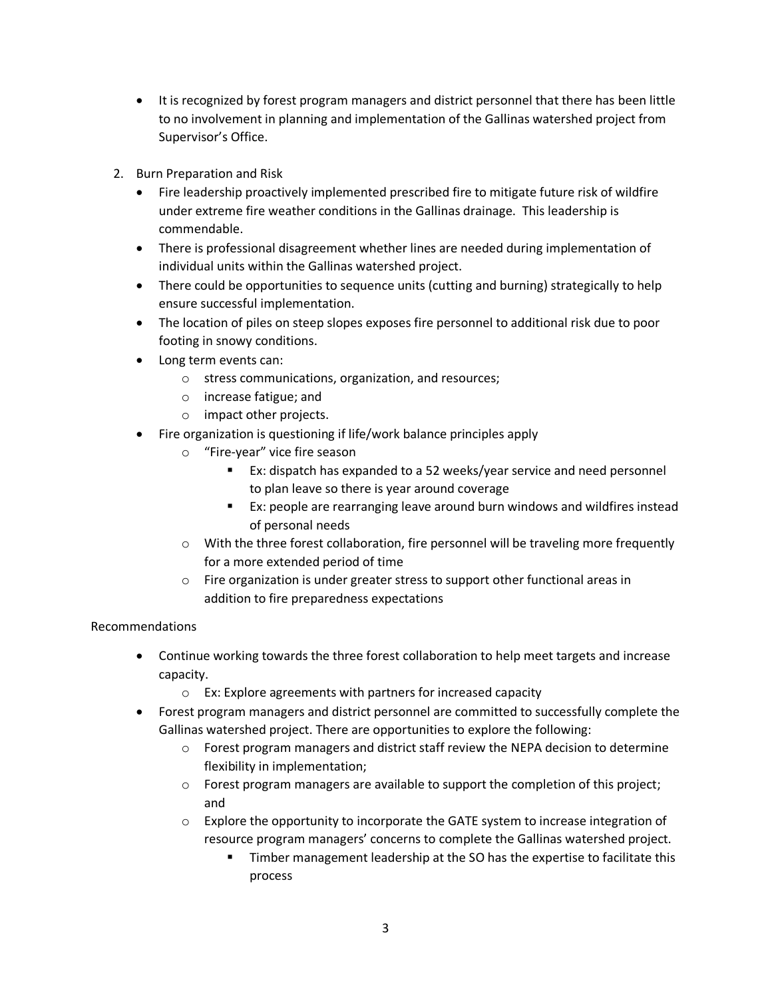- It is recognized by forest program managers and district personnel that there has been little to no involvement in planning and implementation of the Gallinas watershed project from Supervisor's Office.
- 2. Burn Preparation and Risk
	- Fire leadership proactively implemented prescribed fire to mitigate future risk of wildfire under extreme fire weather conditions in the Gallinas drainage. This leadership is commendable.
	- There is professional disagreement whether lines are needed during implementation of individual units within the Gallinas watershed project.
	- There could be opportunities to sequence units (cutting and burning) strategically to help ensure successful implementation.
	- The location of piles on steep slopes exposes fire personnel to additional risk due to poor footing in snowy conditions.
	- Long term events can:
		- o stress communications, organization, and resources;
		- o increase fatigue; and
		- o impact other projects.
	- Fire organization is questioning if life/work balance principles apply
		- o "Fire-year" vice fire season
			- Ex: dispatch has expanded to a 52 weeks/year service and need personnel to plan leave so there is year around coverage
			- Ex: people are rearranging leave around burn windows and wildfires instead of personal needs
		- o With the three forest collaboration, fire personnel will be traveling more frequently for a more extended period of time
		- $\circ$  Fire organization is under greater stress to support other functional areas in addition to fire preparedness expectations

## Recommendations

- Continue working towards the three forest collaboration to help meet targets and increase capacity.
	- o Ex: Explore agreements with partners for increased capacity
- Forest program managers and district personnel are committed to successfully complete the Gallinas watershed project. There are opportunities to explore the following:
	- $\circ$  Forest program managers and district staff review the NEPA decision to determine flexibility in implementation;
	- $\circ$  Forest program managers are available to support the completion of this project; and
	- $\circ$  Explore the opportunity to incorporate the GATE system to increase integration of resource program managers' concerns to complete the Gallinas watershed project.
		- **•** Timber management leadership at the SO has the expertise to facilitate this process